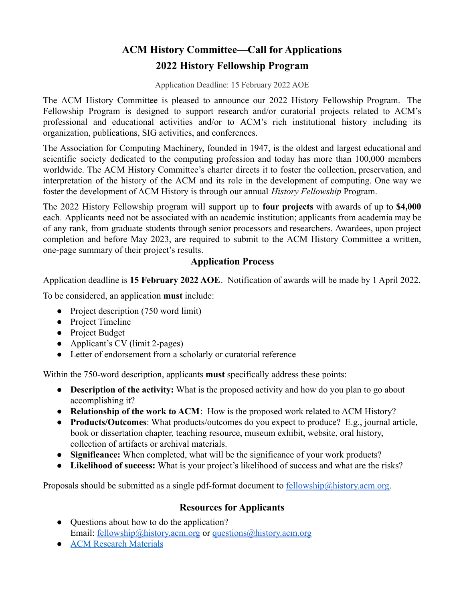## **ACM History Committee—Call for Applications 2022 History Fellowship Program**

Application Deadline: 15 February 2022 AOE

The ACM History Committee is pleased to announce our 2022 History Fellowship Program. The Fellowship Program is designed to support research and/or curatorial projects related to ACM's professional and educational activities and/or to ACM's rich institutional history including its organization, publications, SIG activities, and conferences.

The Association for Computing Machinery, founded in 1947, is the oldest and largest educational and scientific society dedicated to the computing profession and today has more than 100,000 members worldwide. The ACM History Committee's charter directs it to foster the collection, preservation, and interpretation of the history of the ACM and its role in the development of computing. One way we foster the development of ACM History is through our annual *History Fellowship* Program.

The 2022 History Fellowship program will support up to **four projects** with awards of up to **\$4,000** each. Applicants need not be associated with an academic institution; applicants from academia may be of any rank, from graduate students through senior processors and researchers. Awardees, upon project completion and before May 2023, are required to submit to the ACM History Committee a written, one-page summary of their project's results.

## **Application Process**

Application deadline is **15 February 2022 AOE**. Notification of awards will be made by 1 April 2022.

To be considered, an application **must** include:

- Project description (750 word limit)
- Project Timeline
- Project Budget
- Applicant's CV (limit 2-pages)
- Letter of endorsement from a scholarly or curatorial reference

Within the 750-word description, applicants **must** specifically address these points:

- **Description of the activity:** What is the proposed activity and how do you plan to go about accomplishing it?
- **Relationship of the work to ACM**: How is the proposed work related to ACM History?
- **Products/Outcomes**: What products/outcomes do you expect to produce? E.g., journal article, book or dissertation chapter, teaching resource, museum exhibit, website, oral history, collection of artifacts or archival materials.
- **Significance:** When completed, what will be the significance of your work products?
- **Likelihood of success:** What is your project's likelihood of success and what are the risks?

Proposals should be submitted as a single pdf-format document to [fellowship@history.acm.org.](mailto:fellowship@history.acm.org)

## **Resources for Applicants**

- Questions about how to do the application? Email: [fellowship@history.acm.org](mailto:fellowship@history.acm.org) or [questions@history.acm.org](mailto:questions@history.acm.org)
- [ACM Research Materials](https://history.acm.org/acm-history/computing-history-resources-and-guides/acm-history-resources/)